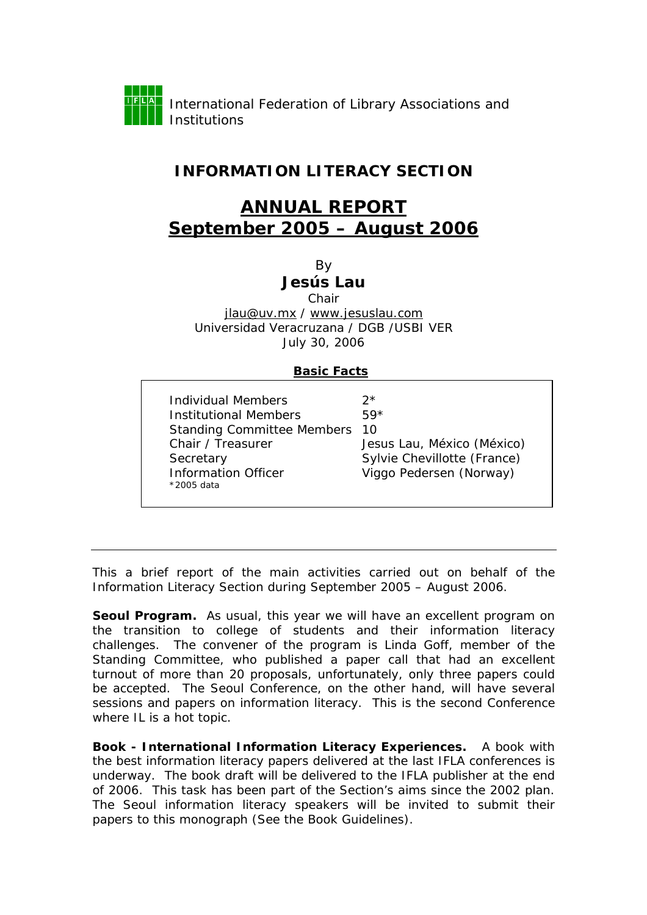

## **INFORMATION LITERACY SECTION**

## **ANNUAL REPORT September 2005 – August 2006**

By

## **Jesús Lau**

Chair

jlau@uv.mx / [www.jesuslau.com](http://www.jesuslau.com) Universidad Veracruzana / DGB /USBI VER July 30, 2006

## **Basic Facts**

| Individual Members<br>ク*<br>Institutional Members<br>$59*$<br><b>Standing Committee Members</b><br>10<br>Chair / Treasurer<br>Secretary<br><b>Information Officer</b><br>*2005 data | Jesus Lau, México (México)<br>Sylvie Chevillotte (France)<br>Viggo Pedersen (Norway) |
|-------------------------------------------------------------------------------------------------------------------------------------------------------------------------------------|--------------------------------------------------------------------------------------|
|-------------------------------------------------------------------------------------------------------------------------------------------------------------------------------------|--------------------------------------------------------------------------------------|

This a brief report of the main activities carried out on behalf of the Information Literacy Section during September 2005 – August 2006.

Seoul Program. As usual, this year we will have an excellent program on the transition to college of students and their information literacy challenges. The convener of the program is Linda Goff, member of the Standing Committee, who published a paper call that had an excellent turnout of more than 20 proposals, unfortunately, only three papers could be accepted. The Seoul Conference, on the other hand, will have several sessions and papers on information literacy. This is the second Conference where IL is a hot topic.

**Book -** *International Information Literacy Experiences***.** A book with the best information literacy papers delivered at the last IFLA conferences is underway. The book draft will be delivered to the IFLA publisher at the end of 2006. This task has been part of the Section's aims since the 2002 plan. The Seoul information literacy speakers will be invited to submit their papers to this monograph (See the Book Guidelines).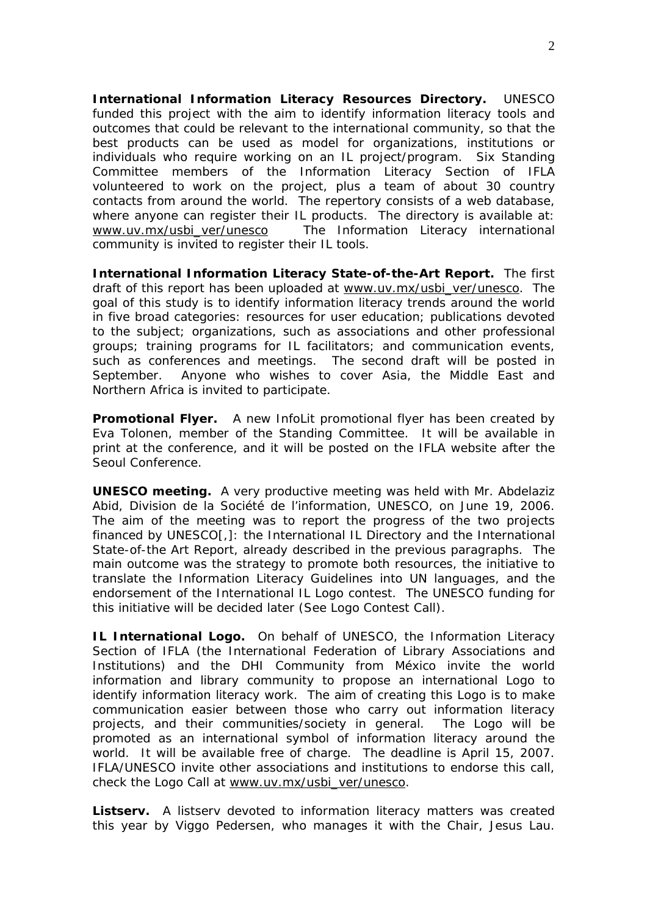**International Information Literacy Resources Directory.** UNESCO funded this project with the aim to identify information literacy tools and outcomes that could be relevant to the international community, so that the best products can be used as model for organizations, institutions or individuals who require working on an IL project/program. Six Standing Committee members of the Information Literacy Section of IFLA volunteered to work on the project, plus a team of about 30 country contacts from around the world. The repertory consists of a web database, where anyone can register their IL products. The directory is available at: [www.uv.mx/usbi\\_ver/unesco](http://www.uv.mx/usbi_ver/unesco) The Information Literacy international community is invited to register their IL tools.

**International Information Literacy State-of-the-Art Report.** The first draft of this report has been uploaded at [www.uv.mx/usbi\\_ver/unesco.](http://www.uv.mx/usbi_ver/unesco) The goal of this study is to identify information literacy trends around the world in five broad categories: resources for user education; publications devoted to the subject; organizations, such as associations and other professional groups; training programs for IL facilitators; and communication events, such as conferences and meetings. The second draft will be posted in September. Anyone who wishes to cover Asia, the Middle East and Northern Africa is invited to participate.

**Promotional Flyer.** A new InfoLit promotional flyer has been created by Eva Tolonen, member of the Standing Committee. It will be available in print at the conference, and it will be posted on the IFLA website after the Seoul Conference.

**UNESCO meeting.** A very productive meeting was held with Mr. Abdelaziz Abid, Division de la Société de l'information, UNESCO, on June 19, 2006. The aim of the meeting was to report the progress of the two projects financed by UNESCO[,]: the International IL Directory and the International State-of-the Art Report, already described in the previous paragraphs. The main outcome was the strategy to promote both resources, the initiative to translate the Information Literacy Guidelines into UN languages, and the endorsement of the International IL Logo contest. The UNESCO funding for this initiative will be decided later (See Logo Contest Call).

**IL International Logo.** On behalf of UNESCO, the Information Literacy Section of IFLA (the International Federation of Library Associations and Institutions) and the DHI Community from México invite the world information and library community to propose an international Logo to identify information literacy work. The aim of creating this Logo is to make communication easier between those who carry out information literacy projects, and their communities/society in general. The Logo will be promoted as an international symbol of information literacy around the world. It will be available free of charge. The deadline is April 15, 2007. IFLA/UNESCO invite other associations and institutions to endorse this call, check the Logo Call at [www.uv.mx/usbi\\_ver/unesco.](http://www.uv.mx/usbi_ver/unesco) 

**Listserv.** A listserv devoted to information literacy matters was created this year by Viggo Pedersen, who manages it with the Chair, Jesus Lau.